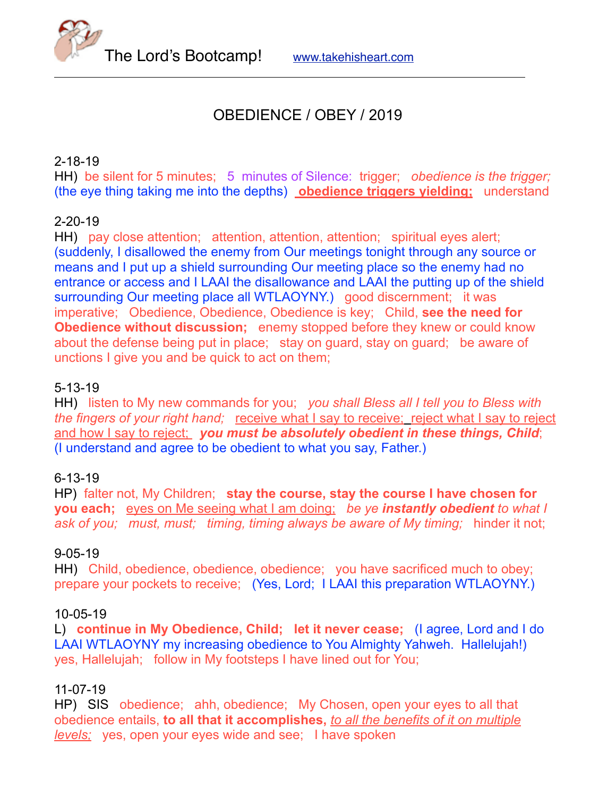The Lord's Bootcamp! [www.takehisheart.com](http://www.takehisheart.com)

# OBEDIENCE / OBEY / 2019

## 2-18-19

HH) be silent for 5 minutes; 5 minutes of Silence: trigger; *obedience is the trigger;* (the eye thing taking me into the depths) **obedience triggers yielding;** understand

### 2-20-19

HH) pay close attention; attention, attention, attention; spiritual eyes alert; (suddenly, I disallowed the enemy from Our meetings tonight through any source or means and I put up a shield surrounding Our meeting place so the enemy had no entrance or access and I LAAI the disallowance and LAAI the putting up of the shield surrounding Our meeting place all WTLAOYNY.) good discernment; it was imperative; Obedience, Obedience, Obedience is key; Child, **see the need for Obedience without discussion;** enemy stopped before they knew or could know about the defense being put in place; stay on guard, stay on guard; be aware of unctions I give you and be quick to act on them;

#### 5-13-19

HH) listen to My new commands for you; *you shall Bless all I tell you to Bless with the fingers of your right hand;* receive what I say to receive; reject what I say to reject and how I say to reject; you must be absolutely obedient in these things, Child; (I understand and agree to be obedient to what you say, Father.)

#### 6-13-19

HP) falter not, My Children; **stay the course, stay the course I have chosen for you each;** eyes on Me seeing what I am doing; *be ye instantly obedient to what I ask of you; must, must; timing, timing always be aware of My timing;* hinder it not;

#### 9-05-19

HH) Child, obedience, obedience, obedience; you have sacrificed much to obey; prepare your pockets to receive; (Yes, Lord; I LAAI this preparation WTLAOYNY.)

#### 10-05-19

L) **continue in My Obedience, Child; let it never cease;** (I agree, Lord and I do LAAI WTLAOYNY my increasing obedience to You Almighty Yahweh. Hallelujah!) yes, Hallelujah; follow in My footsteps I have lined out for You;

#### 11-07-19

HP) SIS obedience; ahh, obedience; My Chosen, open your eyes to all that obedience entails, **to all that it accomplishes,** *to all the benefits of it on multiple levels;* yes, open your eyes wide and see; I have spoken